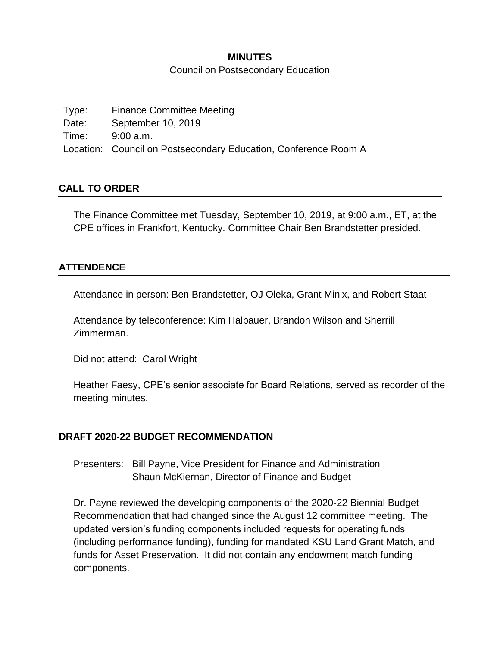### **MINUTES** Council on Postsecondary Education

Type: Finance Committee Meeting Date: September 10, 2019 Time: 9:00 a.m. Location: Council on Postsecondary Education, Conference Room A

#### **CALL TO ORDER**

The Finance Committee met Tuesday, September 10, 2019, at 9:00 a.m., ET, at the CPE offices in Frankfort, Kentucky. Committee Chair Ben Brandstetter presided.

#### **ATTENDENCE**

Attendance in person: Ben Brandstetter, OJ Oleka, Grant Minix, and Robert Staat

Attendance by teleconference: Kim Halbauer, Brandon Wilson and Sherrill Zimmerman.

Did not attend: Carol Wright

Heather Faesy, CPE's senior associate for Board Relations, served as recorder of the meeting minutes.

#### **DRAFT 2020-22 BUDGET RECOMMENDATION**

Presenters: Bill Payne, Vice President for Finance and Administration Shaun McKiernan, Director of Finance and Budget

Dr. Payne reviewed the developing components of the 2020-22 Biennial Budget Recommendation that had changed since the August 12 committee meeting. The updated version's funding components included requests for operating funds (including performance funding), funding for mandated KSU Land Grant Match, and funds for Asset Preservation. It did not contain any endowment match funding components.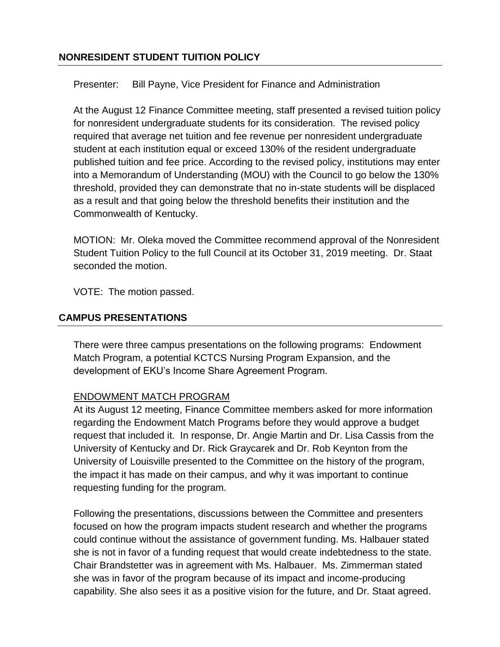### **NONRESIDENT STUDENT TUITION POLICY**

Presenter: Bill Payne, Vice President for Finance and Administration

At the August 12 Finance Committee meeting, staff presented a revised tuition policy for nonresident undergraduate students for its consideration. The revised policy required that average net tuition and fee revenue per nonresident undergraduate student at each institution equal or exceed 130% of the resident undergraduate published tuition and fee price. According to the revised policy, institutions may enter into a Memorandum of Understanding (MOU) with the Council to go below the 130% threshold, provided they can demonstrate that no in-state students will be displaced as a result and that going below the threshold benefits their institution and the Commonwealth of Kentucky.

MOTION: Mr. Oleka moved the Committee recommend approval of the Nonresident Student Tuition Policy to the full Council at its October 31, 2019 meeting. Dr. Staat seconded the motion.

VOTE: The motion passed.

### **CAMPUS PRESENTATIONS**

There were three campus presentations on the following programs: Endowment Match Program, a potential KCTCS Nursing Program Expansion, and the development of EKU's Income Share Agreement Program.

### ENDOWMENT MATCH PROGRAM

At its August 12 meeting, Finance Committee members asked for more information regarding the Endowment Match Programs before they would approve a budget request that included it. In response, Dr. Angie Martin and Dr. Lisa Cassis from the University of Kentucky and Dr. Rick Graycarek and Dr. Rob Keynton from the University of Louisville presented to the Committee on the history of the program, the impact it has made on their campus, and why it was important to continue requesting funding for the program.

Following the presentations, discussions between the Committee and presenters focused on how the program impacts student research and whether the programs could continue without the assistance of government funding. Ms. Halbauer stated she is not in favor of a funding request that would create indebtedness to the state. Chair Brandstetter was in agreement with Ms. Halbauer. Ms. Zimmerman stated she was in favor of the program because of its impact and income-producing capability. She also sees it as a positive vision for the future, and Dr. Staat agreed.